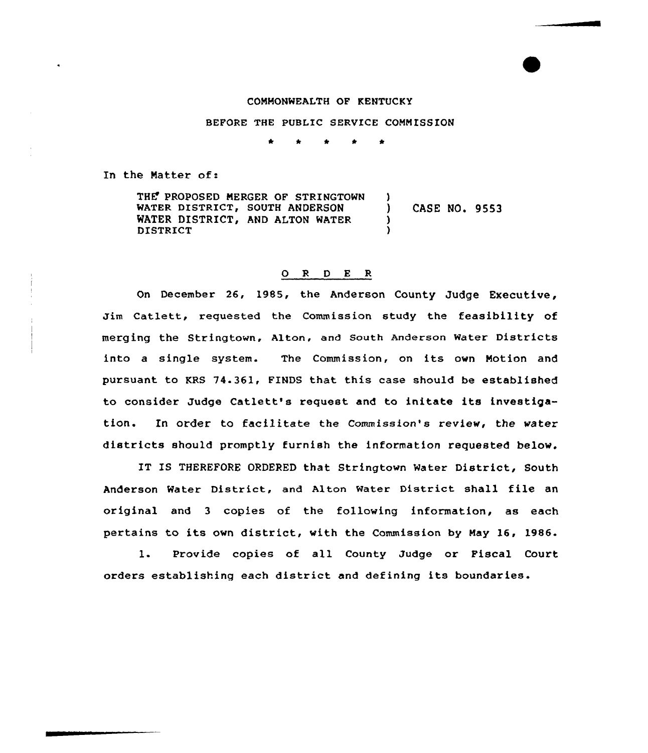## CONNONWEALTH OF KENTUCKY

## BEFORE THE PUBLIC SERVICE COMMISSION

In the Natter of:

THE PROPOSED MERGER OF STRINGTOWN WATER DISTRICT, SOUTH ANDERSON WATER DISTRICT, AND ALTON WATER DISTRICT ) ) CASE NO. 9553 3 )

## O R D E R

On December 26, 1985, the Anderson County Judge Executive, Jim Catlett, requested the Commission study the feasibility of merging the stringtown, Alton, and south Anderson water Districts into <sup>a</sup> single system. The Commission, on its own Notion and pursuant to KRS 74.361, FINDS that this case should be established to consider Judge Catlett's request. and to initate its investigation. In order to facilitate the Commission's review, the water districts should promptly furnish the information requested below.

IT IS THEREFORE ORDERED that Stringtown Mater District, South Anderson Mater District, and Alton Water District shall file an original and 3 copies of the following information, as each pertains to its own district, with the Commission by May 16, 1986.

1. Provide copies of all County Judge or Fiscal Court. orders establishing each district and defining its boundaries.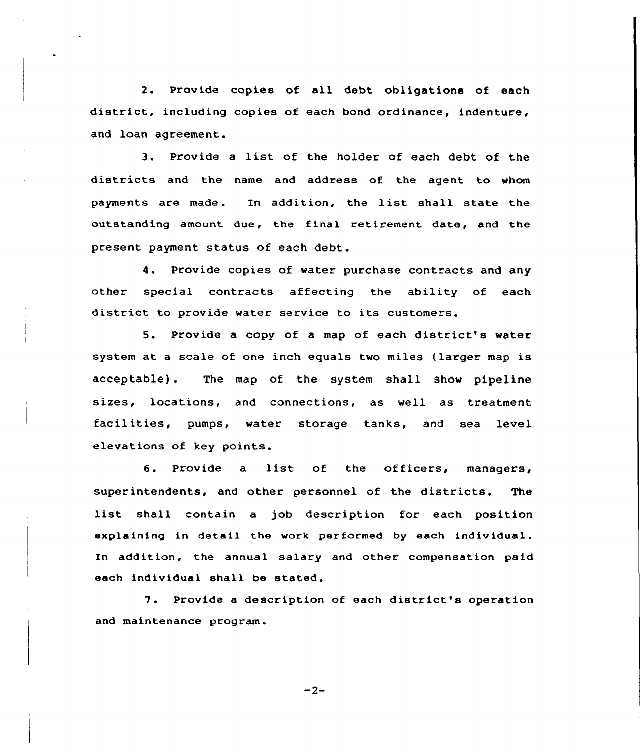2. Provide copies of all debt obligations of each district, including copies of each bond ordinance, indenture, and loan agreement.

3. Provide <sup>a</sup> list of the holder of each debt of the districts and the name and address of the agent to whom payments are made. In addition, the list shall state the outstanding amount due, the final retirement date, and the present payment status of each debt.

4. Provide copies of water purchase contracts and any other special contracts affecting the ability of each district to provide water service to its customers.

5. Provide a copy of <sup>a</sup> map of each district's water system at a scale of one inch equals two miles (larger map is acceptable). The map of the system shall show pipeline sizes, locations, and connections, as well as treatment facilities, pumps, water storage tanks, and sea level elevaticns of key points.

6. Provide <sup>a</sup> list of the officers, managers, superintendents, and other personnel of the districts. The list shall contain <sup>a</sup> job description for each position explaining in detail the work performed by each individual. In addition, the annual salary and other compensation paid each individual shall be stated.

7. Provide <sup>a</sup> description of each district's operation and maintenance program.

 $-2-$